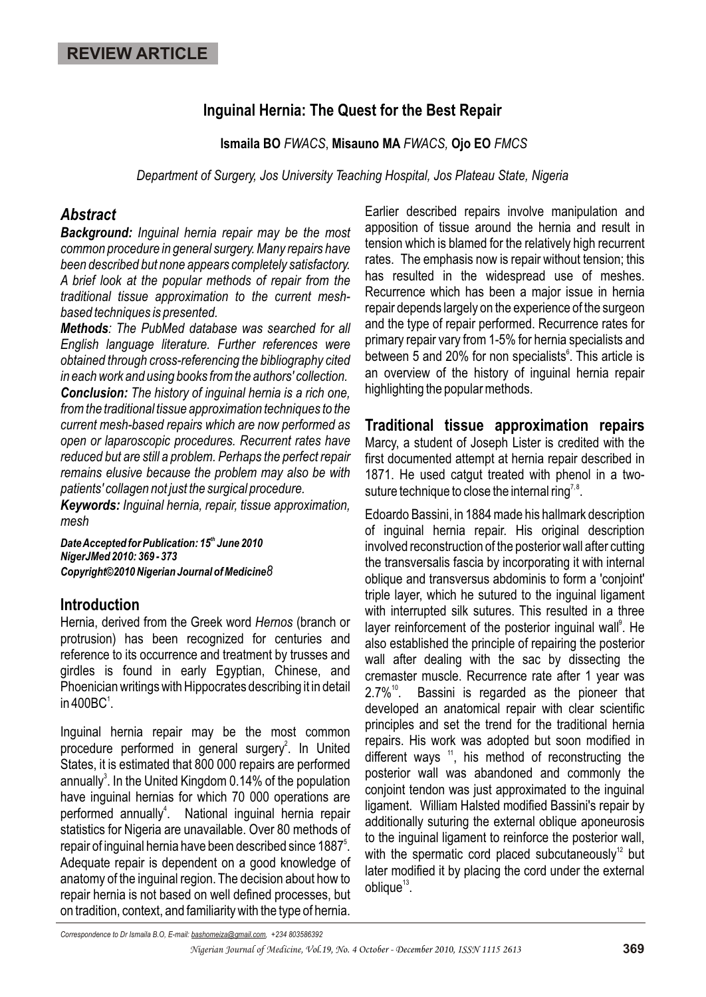# **Inguinal Hernia: The Quest for the Best Repair**

**Ismaila BO** *FWACS*, **Misauno MA** *FWACS,* **Ojo EO** *FMCS*

*Department of Surgery, Jos University Teaching Hospital, Jos Plateau State, Nigeria*

### *Abstract*

*Background: Inguinal hernia repair may be the most common procedure in general surgery. Many repairs have been described but none appears completely satisfactory. A brief look at the popular methods of repair from the traditional tissue approximation to the current meshbased techniques is presented.* 

*Methods: The PubMed database was searched for all English language literature. Further references were obtained through cross-referencing the bibliography cited in each work and using books from the authors' collection.*

*Conclusion: The history of inguinal hernia is a rich one, from the traditional tissue approximation techniques to the current mesh-based repairs which are now performed as open or laparoscopic procedures. Recurrent rates have reduced but are still a problem. Perhaps the perfect repair remains elusive because the problem may also be with patients' collagen not just the surgical procedure.* 

*Keywords: Inguinal hernia, repair, tissue approximation, mesh* 

**Date Accepted for Publication: 15<sup>th</sup> June 2010** *NigerJMed 2010: 369 - 373 Copyright©2010 Nigerian Journal of Medicine8* 

#### **Introduction**

Hernia, derived from the Greek word *Hernos* (branch or protrusion) has been recognized for centuries and reference to its occurrence and treatment by trusses and girdles is found in early Egyptian, Chinese, and Phoenician writings with Hippocrates describing it in detail in 400 $\mathsf{BC}^1$ .

Inguinal hernia repair may be the most common procedure performed in general surgery<sup>2</sup>. In United States, it is estimated that 800 000 repairs are performed annually<sup>3</sup>. In the United Kingdom 0.14% of the population have inguinal hernias for which 70 000 operations are performed annually<sup>4</sup>. National inguinal hernia repair statistics for Nigeria are unavailable. Over 80 methods of repair of inguinal hernia have been described since 1887<sup>5</sup>. Adequate repair is dependent on a good knowledge of anatomy of the inguinal region. The decision about how to repair hernia is not based on well defined processes, but on tradition, context, and familiarity with the type of hernia.

Earlier described repairs involve manipulation and apposition of tissue around the hernia and result in tension which is blamed for the relatively high recurrent rates. The emphasis now is repair without tension; this has resulted in the widespread use of meshes. Recurrence which has been a major issue in hernia repair depends largely on the experience of the surgeon and the type of repair performed. Recurrence rates for primary repair vary from 1-5% for hernia specialists and between 5 and 20% for non specialists<sup>6</sup>. This article is an overview of the history of inguinal hernia repair highlighting the popular methods.

**Traditional tissue approximation repairs** Marcy, a student of Joseph Lister is credited with the first documented attempt at hernia repair described in 1871. He used catgut treated with phenol in a twosuture technique to close the internal ring<sup>7,8</sup>.

Edoardo Bassini, in 1884 made his hallmark description of inguinal hernia repair. His original description involved reconstruction of the posterior wall after cutting the transversalis fascia by incorporating it with internal oblique and transversus abdominis to form a 'conjoint' triple layer, which he sutured to the inguinal ligament with interrupted silk sutures. This resulted in a three layer reinforcement of the posterior inguinal wall<sup>9</sup>. He also established the principle of repairing the posterior wall after dealing with the sac by dissecting the cremaster muscle. Recurrence rate after 1 year was  $2.7\%$ <sup>10</sup>. Bassini is regarded as the pioneer that developed an anatomical repair with clear scientific principles and set the trend for the traditional hernia repairs. His work was adopted but soon modified in different ways  $11$ , his method of reconstructing the posterior wall was abandoned and commonly the conjoint tendon was just approximated to the inguinal ligament. William Halsted modified Bassini's repair by additionally suturing the external oblique aponeurosis to the inguinal ligament to reinforce the posterior wall, with the spermatic cord placed subcutaneously<sup>12</sup> but later modified it by placing the cord under the external  $oblique<sup>13</sup>$ .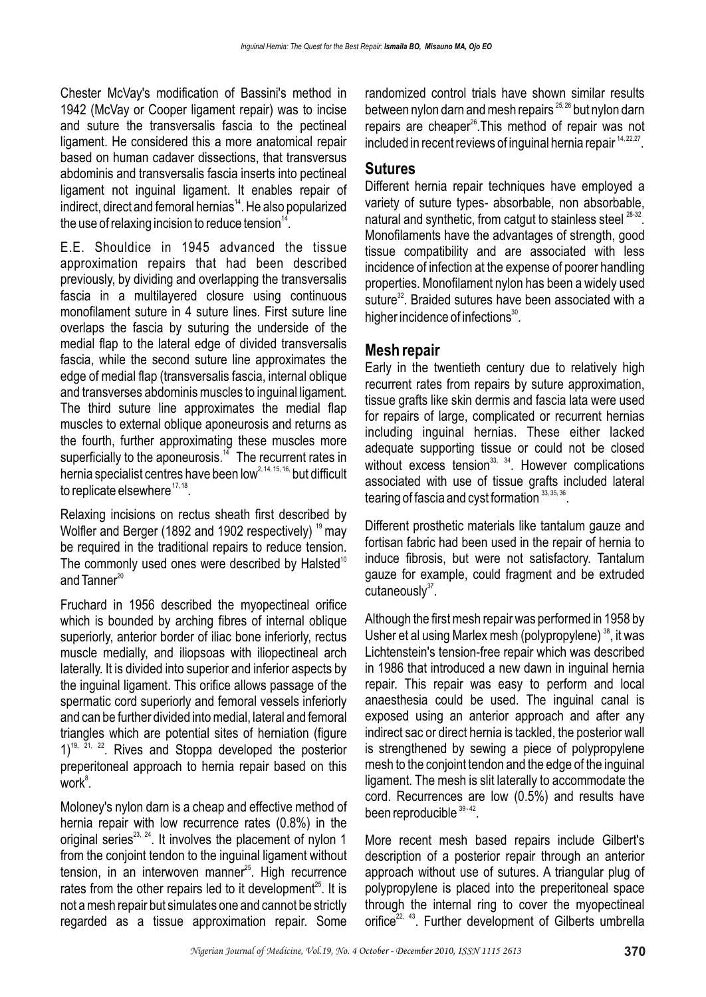Chester McVay's modification of Bassini's method in 1942 (McVay or Cooper ligament repair) was to incise and suture the transversalis fascia to the pectineal ligament. He considered this a more anatomical repair based on human cadaver dissections, that transversus abdominis and transversalis fascia inserts into pectineal ligament not inguinal ligament. It enables repair of indirect, direct and femoral hernias<sup>14</sup>. He also popularized the use of relaxing incision to reduce tension $14$ .

E.E. Shouldice in 1945 advanced the tissue approximation repairs that had been described previously, by dividing and overlapping the transversalis fascia in a multilayered closure using continuous monofilament suture in 4 suture lines. First suture line overlaps the fascia by suturing the underside of the medial flap to the lateral edge of divided transversalis fascia, while the second suture line approximates the edge of medial flap (transversalis fascia, internal oblique and transverses abdominis muscles to inguinal ligament. The third suture line approximates the medial flap muscles to external oblique aponeurosis and returns as the fourth, further approximating these muscles more superficially to the aponeurosis.<sup>14</sup> The recurrent rates in hernia specialist centres have been low<sup>2, 14, 15, 16,</sup> but difficult to replicate elsewhere  $17, 18$ .

Relaxing incisions on rectus sheath first described by Wolfler and Berger (1892 and 1902 respectively)  $19$  may be required in the traditional repairs to reduce tension. The commonly used ones were described by Halsted<sup>10</sup> and  $T$ anner $^{20}$ 

Fruchard in 1956 described the myopectineal orifice which is bounded by arching fibres of internal oblique superiorly, anterior border of iliac bone inferiorly, rectus muscle medially, and iliopsoas with iliopectineal arch laterally. It is divided into superior and inferior aspects by the inguinal ligament. This orifice allows passage of the spermatic cord superiorly and femoral vessels inferiorly and can be further divided into medial, lateral and femoral triangles which are potential sites of herniation (figure  $1$ <sup>19,  $21$ ,  $22$ . Rives and Stoppa developed the posterior</sup> preperitoneal approach to hernia repair based on this work $\mathrm{^8}.$ 

Moloney's nylon darn is a cheap and effective method of hernia repair with low recurrence rates (0.8%) in the original series $^{23, 24}$ . It involves the placement of nylon 1 from the conjoint tendon to the inguinal ligament without tension, in an interwoven manner $^{25}$ . High recurrence rates from the other repairs led to it development<sup>25</sup>. It is not a mesh repair but simulates one and cannot be strictly regarded as a tissue approximation repair. Some

randomized control trials have shown similar results between nylon darn and mesh repairs  $^{25,26}$  but nylon darn repairs are cheaper<sup>26</sup>. This method of repair was not included in recent reviews of inguinal hernia repair  $14, 22, 27$ .

#### **Sutures**

Different hernia repair techniques have employed a variety of suture types- absorbable, non absorbable, natural and synthetic, from catqut to stainless steel  $28-32$ . Monofilaments have the advantages of strength, good tissue compatibility and are associated with less incidence of infection at the expense of poorer handling properties. Monofilament nylon has been a widely used suture<sup>32</sup>. Braided sutures have been associated with a higher incidence of infections $^{30}$ .

### **Mesh repair**

Early in the twentieth century due to relatively high recurrent rates from repairs by suture approximation, tissue grafts like skin dermis and fascia lata were used for repairs of large, complicated or recurrent hernias including inguinal hernias. These either lacked adequate supporting tissue or could not be closed without excess tension  $33, 34$ . However complications associated with use of tissue grafts included lateral tearing of fascia and cyst formation  $33, 35, 36$ .

Different prosthetic materials like tantalum gauze and fortisan fabric had been used in the repair of hernia to induce fibrosis, but were not satisfactory. Tantalum gauze for example, could fragment and be extruded  $cutaneously<sup>37</sup>$ .

Although the first mesh repair was performed in 1958 by Usher et al using Marlex mesh (polypropylene)<sup>38</sup>, it was Lichtenstein's tension-free repair which was described in 1986 that introduced a new dawn in inguinal hernia repair. This repair was easy to perform and local anaesthesia could be used. The inguinal canal is exposed using an anterior approach and after any indirect sac or direct hernia is tackled, the posterior wall is strengthened by sewing a piece of polypropylene mesh to the conjoint tendon and the edge of the inguinal ligament. The mesh is slit laterally to accommodate the cord. Recurrences are low (0.5%) and results have been reproducible 39-42.

More recent mesh based repairs include Gilbert's description of a posterior repair through an anterior approach without use of sutures. A triangular plug of polypropylene is placed into the preperitoneal space through the internal ring to cover the myopectineal orifice<sup>22, 43</sup>. Further development of Gilberts umbrella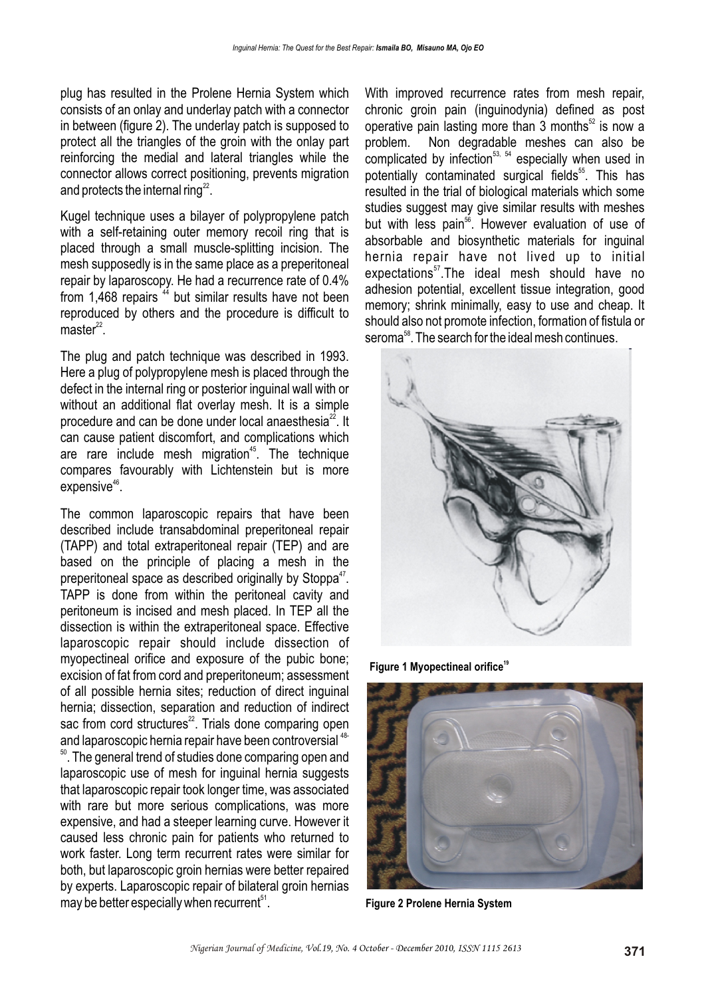plug has resulted in the Prolene Hernia System which consists of an onlay and underlay patch with a connector in between (figure 2). The underlay patch is supposed to protect all the triangles of the groin with the onlay part reinforcing the medial and lateral triangles while the connector allows correct positioning, prevents migration and protects the internal ring $^{22}$ .

Kugel technique uses a bilayer of polypropylene patch with a self-retaining outer memory recoil ring that is placed through a small muscle-splitting incision. The mesh supposedly is in the same place as a preperitoneal repair by laparoscopy. He had a recurrence rate of 0.4% from 1,468 repairs <sup>44</sup> but similar results have not been reproduced by others and the procedure is difficult to  $master<sup>22</sup>$ .

The plug and patch technique was described in 1993. Here a plug of polypropylene mesh is placed through the defect in the internal ring or posterior inguinal wall with or without an additional flat overlay mesh. It is a simple procedure and can be done under local anaesthesia $^{22}$ . It can cause patient discomfort, and complications which are rare include mesh migration<sup> $45$ </sup>. The technique compares favourably with Lichtenstein but is more  $expensive<sup>46</sup>$ .

The common laparoscopic repairs that have been described include transabdominal preperitoneal repair (TAPP) and total extraperitoneal repair (TEP) and are based on the principle of placing a mesh in the preperitoneal space as described originally by Stoppa<sup>47</sup>. TAPP is done from within the peritoneal cavity and peritoneum is incised and mesh placed. In TEP all the dissection is within the extraperitoneal space. Effective laparoscopic repair should include dissection of myopectineal orifice and exposure of the pubic bone; excision of fat from cord and preperitoneum; assessment of all possible hernia sites; reduction of direct inguinal hernia; dissection, separation and reduction of indirect sac from cord structures $^{22}$ . Trials done comparing open and laparoscopic hernia repair have been controversial <sup>48-</sup>

 $50$ . The general trend of studies done comparing open and laparoscopic use of mesh for inquinal hernia suggests that laparoscopic repair took longer time, was associated with rare but more serious complications, was more expensive, and had a steeper learning curve. However it caused less chronic pain for patients who returned to work faster. Long term recurrent rates were similar for both, but laparoscopic groin hernias were better repaired by experts. Laparoscopic repair of bilateral groin hernias  $may be better especially when recurrent<sup>51</sup>.$ 

With improved recurrence rates from mesh repair, chronic groin pain (inguinodynia) defined as post operative pain lasting more than 3 months $52$  is now a problem. Non degradable meshes can also be complicated by infection<sup>53, 54</sup> especially when used in potentially contaminated surgical fields<sup>55</sup>. This has resulted in the trial of biological materials which some studies suggest may give similar results with meshes but with less pain<sup>56</sup>. However evaluation of use of absorbable and biosynthetic materials for inguinal hernia repair have not lived up to initial expectations<sup>57</sup>.The ideal mesh should have no adhesion potential, excellent tissue integration, good memory; shrink minimally, easy to use and cheap. It should also not promote infection, formation of fistula or seroma<sup>58</sup>. The search for the ideal mesh continues.



**<sup>19</sup> Figure 1 Myopectineal orifice**



**Figure 2 Prolene Hernia System**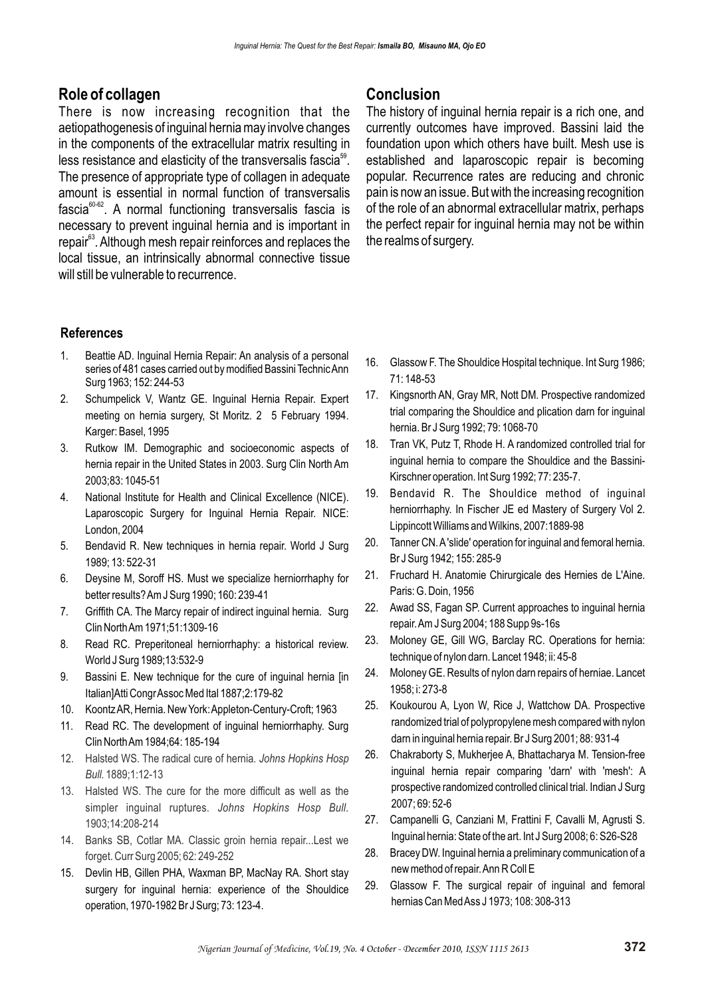# **Role of collagen**

There is now increasing recognition that the aetiopathogenesis of inguinal hernia may involve changes in the components of the extracellular matrix resulting in less resistance and elasticity of the transversalis fascia<sup>59</sup>. The presence of appropriate type of collagen in adequate amount is essential in normal function of transversalis fascia<sup>60-62</sup>. A normal functioning transversalis fascia is necessary to prevent inguinal hernia and is important in repair<sup>63</sup>. Although mesh repair reinforces and replaces the local tissue, an intrinsically abnormal connective tissue will still be vulnerable to recurrence.

#### **References**

- 1. Beattie AD. Inguinal Hernia Repair: An analysis of a personal series of 481 cases carried out by modified Bassini Technic Ann Surg 1963; 152: 244-53
- 2. Schumpelick V, Wantz GE. Inguinal Hernia Repair. Expert meeting on hernia surgery, St Moritz. 2 5 February 1994. Karger: Basel, 1995
- 3. Rutkow IM. Demographic and socioeconomic aspects of hernia repair in the United States in 2003. Surg Clin North Am 2003;83: 1045-51
- 4. National Institute for Health and Clinical Excellence (NICE). Laparoscopic Surgery for Inguinal Hernia Repair. NICE: London, 2004
- 5. Bendavid R. New techniques in hernia repair. World J Surg 1989; 13: 522-31
- 6. Deysine M, Soroff HS. Must we specialize herniorrhaphy for better results? Am J Surg 1990; 160: 239-41
- 7. Griffith CA. The Marcy repair of indirect inguinal hernia. Surg Clin North Am 1971;51:1309-16
- 8. Read RC. Preperitoneal herniorrhaphy: a historical review. World J Surg 1989;13:532-9
- 9. Bassini E. New technique for the cure of inguinal hernia [in Italian]Atti Congr Assoc Med Ital 1887;2:179-82
- 10. Koontz AR, Hernia. New York: Appleton-Century-Croft; 1963
- 11. Read RC. The development of inguinal herniorrhaphy. Surg Clin North Am 1984;64: 185-194
- 12. Halsted WS. The radical cure of hernia. *Johns Hopkins Hosp Bull.* 1889;1:12-13
- 13. Halsted WS. The cure for the more difficult as well as the simpler inguinal ruptures. *Johns Hopkins Hosp Bull.*  1903;14:208-214
- 14. Banks SB, Cotlar MA. Classic groin hernia repair...Lest we forget. Curr Surg 2005; 62: 249-252
- 15. Devlin HB, Gillen PHA, Waxman BP, MacNay RA. Short stay surgery for inguinal hernia: experience of the Shouldice operation, 1970-1982 Br J Surg; 73: 123-4.

# **Conclusion**

The history of inguinal hernia repair is a rich one, and currently outcomes have improved. Bassini laid the foundation upon which others have built. Mesh use is established and laparoscopic repair is becoming popular. Recurrence rates are reducing and chronic pain is now an issue. But with the increasing recognition of the role of an abnormal extracellular matrix, perhaps the perfect repair for inguinal hernia may not be within the realms of surgery.

- 16. Glassow F. The Shouldice Hospital technique. Int Surg 1986; 71: 148-53
- 17. Kingsnorth AN, Gray MR, Nott DM. Prospective randomized trial comparing the Shouldice and plication darn for inguinal hernia. Br J Surg 1992; 79: 1068-70
- 18. Tran VK, Putz T, Rhode H. A randomized controlled trial for inguinal hernia to compare the Shouldice and the Bassini-Kirschner operation. Int Surg 1992; 77: 235-7.
- 19. Bendavid R. The Shouldice method of inguinal herniorrhaphy. In Fischer JE ed Mastery of Surgery Vol 2. Lippincott Williams and Wilkins, 2007:1889-98
- 20. Tanner CN. A 'slide' operation for inguinal and femoral hernia. Br J Surg 1942; 155: 285-9
- 21. Fruchard H. Anatomie Chirurgicale des Hernies de L'Aine. Paris: G. Doin, 1956
- 22. Awad SS, Fagan SP. Current approaches to inguinal hernia repair. Am J Surg 2004; 188 Supp 9s-16s
- 23. Moloney GE, Gill WG, Barclay RC. Operations for hernia: technique of nylon darn. Lancet 1948; ii: 45-8
- 24. Moloney GE. Results of nylon darn repairs of herniae. Lancet 1958; i: 273-8
- 25. Koukourou A, Lyon W, Rice J, Wattchow DA. Prospective randomized trial of polypropylene mesh compared with nylon darn in inguinal hernia repair. Br J Surg 2001; 88: 931-4
- 26. Chakraborty S, Mukherjee A, Bhattacharya M. Tension-free inguinal hernia repair comparing 'darn' with 'mesh': A prospective randomized controlled clinical trial. Indian J Surg 2007; 69: 52-6
- 27. Campanelli G, Canziani M, Frattini F, Cavalli M, Agrusti S. Inguinal hernia: State of the art. Int J Surg 2008; 6: S26-S28
- 28. Bracey DW. Inguinal hernia a preliminary communication of a new method of repair. Ann R Coll E
- 29. Glassow F. The surgical repair of inguinal and femoral hernias Can Med Ass J 1973; 108: 308-313